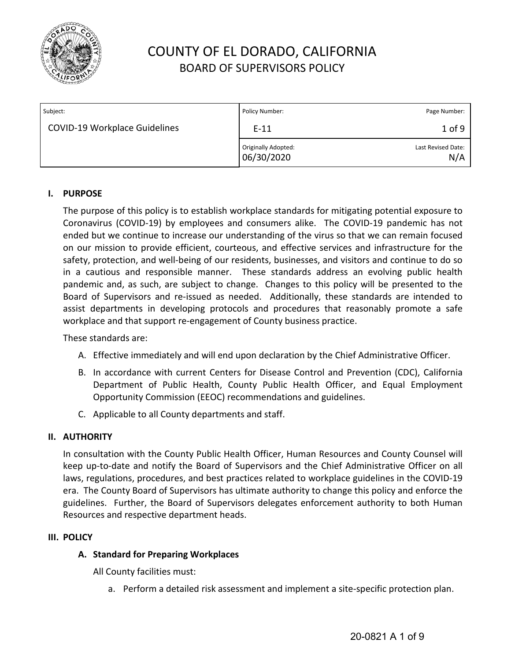

| Subject:                             | Policy Number:                    | Page Number:              |
|--------------------------------------|-----------------------------------|---------------------------|
| <b>COVID-19 Workplace Guidelines</b> | $E-11$                            | $1$ of 9                  |
|                                      | Originally Adopted:<br>06/30/2020 | Last Revised Date:<br>N/A |

## **I. PURPOSE**

The purpose of this policy is to establish workplace standards for mitigating potential exposure to Coronavirus (COVID-19) by employees and consumers alike. The COVID-19 pandemic has not ended but we continue to increase our understanding of the virus so that we can remain focused on our mission to provide efficient, courteous, and effective services and infrastructure for the safety, protection, and well-being of our residents, businesses, and visitors and continue to do so in a cautious and responsible manner. These standards address an evolving public health pandemic and, as such, are subject to change. Changes to this policy will be presented to the Board of Supervisors and re-issued as needed. Additionally, these standards are intended to assist departments in developing protocols and procedures that reasonably promote a safe workplace and that support re-engagement of County business practice.

These standards are:

- A. Effective immediately and will end upon declaration by the Chief Administrative Officer.
- B. In accordance with current Centers for Disease Control and Prevention (CDC), California Department of Public Health, County Public Health Officer, and Equal Employment Opportunity Commission (EEOC) recommendations and guidelines.
- C. Applicable to all County departments and staff.

### **II. AUTHORITY**

In consultation with the County Public Health Officer, Human Resources and County Counsel will keep up-to-date and notify the Board of Supervisors and the Chief Administrative Officer on all laws, regulations, procedures, and best practices related to workplace guidelines in the COVID-19 era. The County Board of Supervisors has ultimate authority to change this policy and enforce the guidelines. Further, the Board of Supervisors delegates enforcement authority to both Human Resources and respective department heads.

### **III. POLICY**

### **A. Standard for Preparing Workplaces**

All County facilities must:

a. Perform a detailed risk assessment and implement a site-specific protection plan.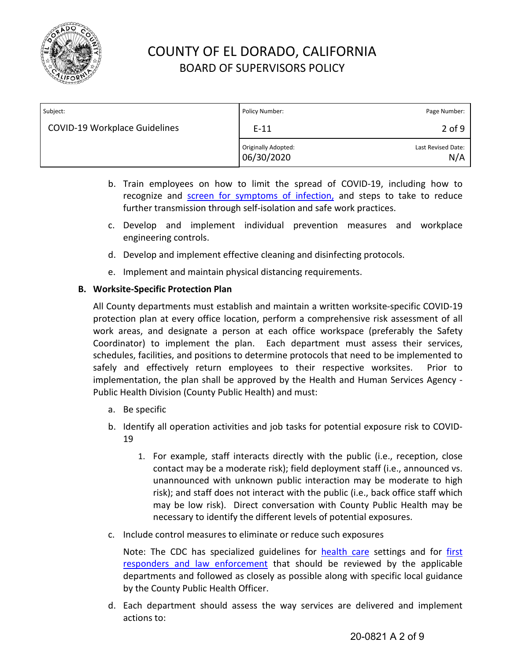

| Subject:                             | Policy Number:                    | Page Number:              |
|--------------------------------------|-----------------------------------|---------------------------|
| <b>COVID-19 Workplace Guidelines</b> | $E-11$                            | $2$ of 9                  |
|                                      | Originally Adopted:<br>06/30/2020 | Last Revised Date:<br>N/A |

- b. Train employees on how to limit the spread of COVID-19, including how to recognize and **[screen for symptoms](https://www.cdc.gov/coronavirus/2019-ncov/symptoms-testing/symptoms.html?CDC_AA_refVal=https%3A%2F%2Fwww.cdc.gov%2Fcoronavirus%2F2019-ncov%2Fsymptoms-testing%2Findex.html) of infection**, and steps to take to reduce further transmission through self-isolation and safe work practices.
- c. Develop and implement individual prevention measures and workplace engineering controls.
- d. Develop and implement effective cleaning and disinfecting protocols.
- e. Implement and maintain physical distancing requirements.

## **B. Worksite-Specific Protection Plan**

All County departments must establish and maintain a written worksite-specific COVID-19 protection plan at every office location, perform a comprehensive risk assessment of all work areas, and designate a person at each office workspace (preferably the Safety Coordinator) to implement the plan. Each department must assess their services, schedules, facilities, and positions to determine protocols that need to be implemented to safely and effectively return employees to their respective worksites. Prior to implementation, the plan shall be approved by the Health and Human Services Agency - Public Health Division (County Public Health) and must:

- a. Be specific
- b. Identify all operation activities and job tasks for potential exposure risk to COVID-19
	- 1. For example, staff interacts directly with the public (i.e., reception, close contact may be a moderate risk); field deployment staff (i.e., announced vs. unannounced with unknown public interaction may be moderate to high risk); and staff does not interact with the public (i.e., back office staff which may be low risk). Direct conversation with County Public Health may be necessary to identify the different levels of potential exposures.
- c. Include control measures to eliminate or reduce such exposures

Note: The CDC has specialized guidelines for [health care](https://www.cdc.gov/coronavirus/2019-ncov/hcp/index.html) settings and for [first](https://www.cdc.gov/coronavirus/2019-ncov/community/first-responders.html) [responders and law enforcement](https://www.cdc.gov/coronavirus/2019-ncov/community/first-responders.html) that should be reviewed by the applicable departments and followed as closely as possible along with specific local guidance by the County Public Health Officer.

d. Each department should assess the way services are delivered and implement actions to: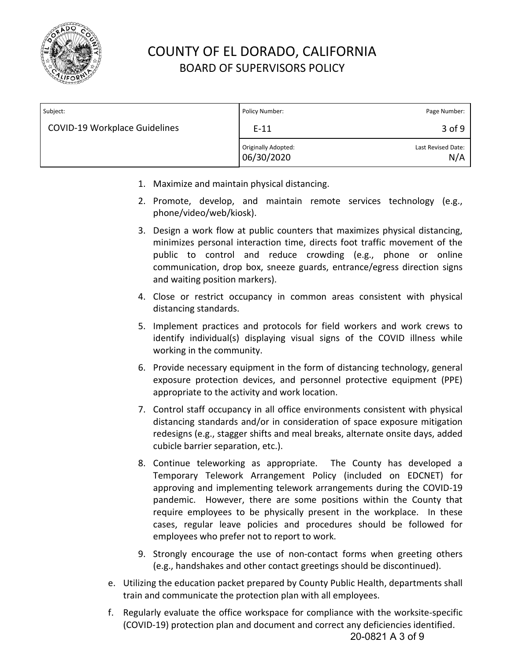

| Subject:                             | Policy Number:                    | Page Number:              |
|--------------------------------------|-----------------------------------|---------------------------|
| <b>COVID-19 Workplace Guidelines</b> | $E-11$                            | $3$ of 9                  |
|                                      | Originally Adopted:<br>06/30/2020 | Last Revised Date:<br>N/A |

- 1. Maximize and maintain physical distancing.
- 2. Promote, develop, and maintain remote services technology (e.g., phone/video/web/kiosk).
- 3. Design a work flow at public counters that maximizes physical distancing, minimizes personal interaction time, directs foot traffic movement of the public to control and reduce crowding (e.g., phone or online communication, drop box, sneeze guards, entrance/egress direction signs and waiting position markers).
- 4. Close or restrict occupancy in common areas consistent with physical distancing standards.
- 5. Implement practices and protocols for field workers and work crews to identify individual(s) displaying visual signs of the COVID illness while working in the community.
- 6. Provide necessary equipment in the form of distancing technology, general exposure protection devices, and personnel protective equipment (PPE) appropriate to the activity and work location.
- 7. Control staff occupancy in all office environments consistent with physical distancing standards and/or in consideration of space exposure mitigation redesigns (e.g., stagger shifts and meal breaks, alternate onsite days, added cubicle barrier separation, etc.).
- 8. Continue teleworking as appropriate. The County has developed a Temporary Telework Arrangement Policy (included on EDCNET) for approving and implementing telework arrangements during the COVID-19 pandemic. However, there are some positions within the County that require employees to be physically present in the workplace. In these cases, regular leave policies and procedures should be followed for employees who prefer not to report to work.
- 9. Strongly encourage the use of non-contact forms when greeting others (e.g., handshakes and other contact greetings should be discontinued).
- e. Utilizing the education packet prepared by County Public Health, departments shall train and communicate the protection plan with all employees.
- f. Regularly evaluate the office workspace for compliance with the worksite-specific (COVID-19) protection plan and document and correct any deficiencies identified. 20-0821 A 3 of 9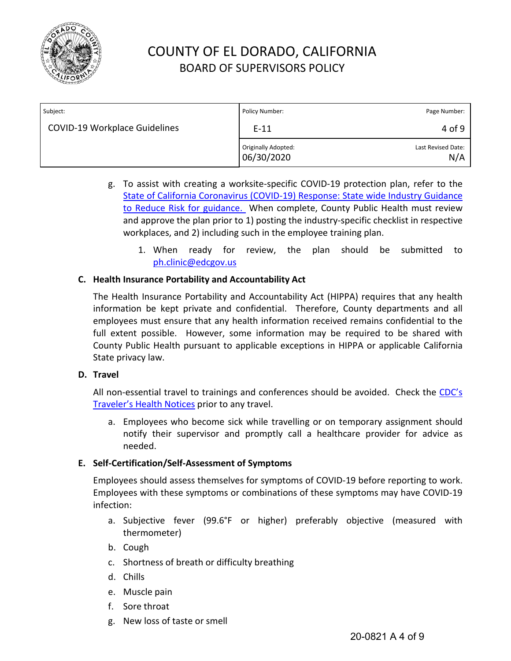

| Subject:                             | Policy Number:                    | Page Number:              |
|--------------------------------------|-----------------------------------|---------------------------|
| <b>COVID-19 Workplace Guidelines</b> | $E-11$                            | 4 of 9                    |
|                                      | Originally Adopted:<br>06/30/2020 | Last Revised Date:<br>N/A |

- g. To assist with creating a worksite-specific COVID-19 protection plan, refer to the [State of California Coronavirus \(COVID-19\) Response: State wide Industry Guidance](https://covid19.ca.gov/industry-guidance/#:%7E:text=Perform%20a%20detailed%20risk%20assessment,Implement%20disinfecting%20protocols) [to Reduce Risk for guidance.](https://covid19.ca.gov/industry-guidance/#:%7E:text=Perform%20a%20detailed%20risk%20assessment,Implement%20disinfecting%20protocols) When complete, County Public Health must review and approve the plan prior to 1) posting the industry-specific checklist in respective workplaces, and 2) including such in the employee training plan.
	- 1. When ready for review, the plan should be submitted to [ph.clinic@edcgov.us](mailto:ph.clinic@edcgov.us)

## **C. Health Insurance Portability and Accountability Act**

The Health Insurance Portability and Accountability Act (HIPPA) requires that any health information be kept private and confidential. Therefore, County departments and all employees must ensure that any health information received remains confidential to the full extent possible. However, some information may be required to be shared with County Public Health pursuant to applicable exceptions in HIPPA or applicable California State privacy law.

### **D. Travel**

All non-essential travel to trainings and conferences should be avoided. Check the [CDC's](https://wwwnc.cdc.gov/travel) [Traveler's Health Notices](https://wwwnc.cdc.gov/travel) prior to any travel.

a. Employees who become sick while travelling or on temporary assignment should notify their supervisor and promptly call a healthcare provider for advice as needed.

## **E. Self-Certification/Self-Assessment of Symptoms**

Employees should assess themselves for symptoms of COVID-19 before reporting to work. Employees with these symptoms or combinations of these symptoms may have COVID-19 infection:

- a. Subjective fever (99.6°F or higher) preferably objective (measured with thermometer)
- b. Cough
- c. Shortness of breath or difficulty breathing
- d. Chills
- e. Muscle pain
- f. Sore throat
- g. New loss of taste or smell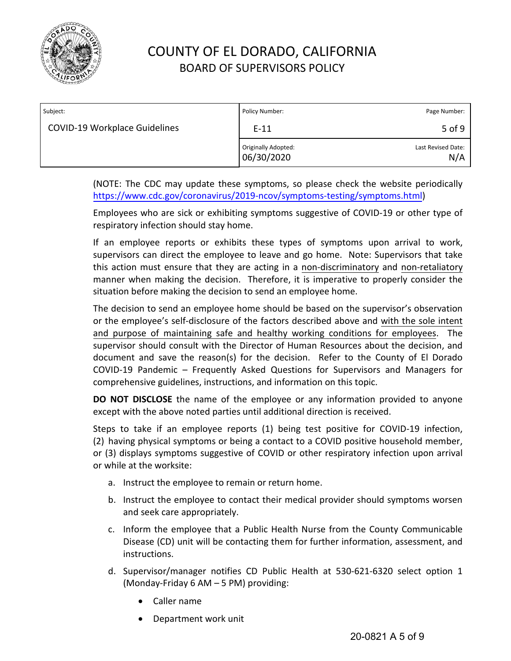

| Subject:                             | Policy Number:                    | Page Number:              |
|--------------------------------------|-----------------------------------|---------------------------|
| <b>COVID-19 Workplace Guidelines</b> | $E-11$                            | 5 of 9                    |
|                                      | Originally Adopted:<br>06/30/2020 | Last Revised Date:<br>N/A |

(NOTE: The CDC may update these symptoms, so please check the website periodically [https://www.cdc.gov/coronavirus/2019-ncov/symptoms-testing/symptoms.html\)](https://www.cdc.gov/coronavirus/2019-ncov/symptoms-testing/symptoms.html)

Employees who are sick or exhibiting symptoms suggestive of COVID-19 or other type of respiratory infection should stay home.

If an employee reports or exhibits these types of symptoms upon arrival to work, supervisors can direct the employee to leave and go home. Note: Supervisors that take this action must ensure that they are acting in a non-discriminatory and non-retaliatory manner when making the decision. Therefore, it is imperative to properly consider the situation before making the decision to send an employee home.

The decision to send an employee home should be based on the supervisor's observation or the employee's self-disclosure of the factors described above and with the sole intent and purpose of maintaining safe and healthy working conditions for employees. The supervisor should consult with the Director of Human Resources about the decision, and document and save the reason(s) for the decision. Refer to the County of El Dorado COVID-19 Pandemic – Frequently Asked Questions for Supervisors and Managers for comprehensive guidelines, instructions, and information on this topic.

**DO NOT DISCLOSE** the name of the employee or any information provided to anyone except with the above noted parties until additional direction is received.

Steps to take if an employee reports (1) being test positive for COVID-19 infection, (2) having physical symptoms or being a contact to a COVID positive household member, or (3) displays symptoms suggestive of COVID or other respiratory infection upon arrival or while at the worksite:

- a. Instruct the employee to remain or return home.
- b. Instruct the employee to contact their medical provider should symptoms worsen and seek care appropriately.
- c. Inform the employee that a Public Health Nurse from the County Communicable Disease (CD) unit will be contacting them for further information, assessment, and instructions.
- d. Supervisor/manager notifies CD Public Health at 530-621-6320 select option 1 (Monday-Friday 6 AM – 5 PM) providing:
	- Caller name
	- Department work unit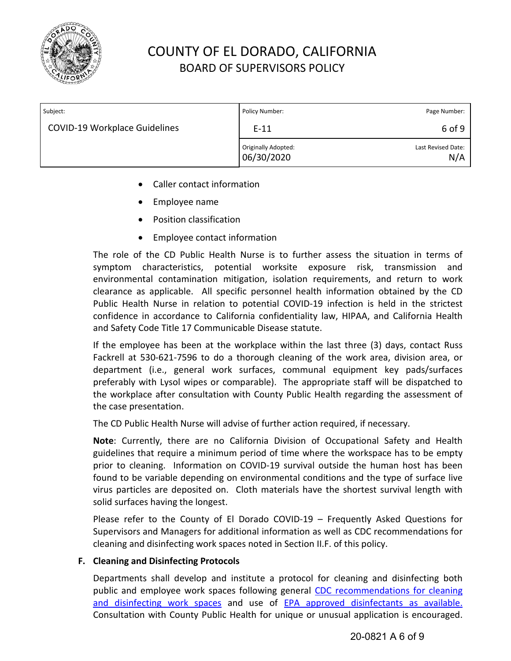

| Subject:                             | Policy Number:                    | Page Number:              |
|--------------------------------------|-----------------------------------|---------------------------|
| <b>COVID-19 Workplace Guidelines</b> | $E-11$                            | 6 of 9                    |
|                                      | Originally Adopted:<br>06/30/2020 | Last Revised Date:<br>N/A |

- Caller contact information
- Employee name
- Position classification
- Employee contact information

The role of the CD Public Health Nurse is to further assess the situation in terms of symptom characteristics, potential worksite exposure risk, transmission and environmental contamination mitigation, isolation requirements, and return to work clearance as applicable. All specific personnel health information obtained by the CD Public Health Nurse in relation to potential COVID-19 infection is held in the strictest confidence in accordance to California confidentiality law, HIPAA, and California Health and Safety Code Title 17 Communicable Disease statute.

If the employee has been at the workplace within the last three (3) days, contact Russ Fackrell at 530-621-7596 to do a thorough cleaning of the work area, division area, or department (i.e., general work surfaces, communal equipment key pads/surfaces preferably with Lysol wipes or comparable). The appropriate staff will be dispatched to the workplace after consultation with County Public Health regarding the assessment of the case presentation.

The CD Public Health Nurse will advise of further action required, if necessary.

**Note**: Currently, there are no California Division of Occupational Safety and Health guidelines that require a minimum period of time where the workspace has to be empty prior to cleaning. Information on COVID-19 survival outside the human host has been found to be variable depending on environmental conditions and the type of surface live virus particles are deposited on. Cloth materials have the shortest survival length with solid surfaces having the longest.

Please refer to the County of El Dorado COVID-19 – Frequently Asked Questions for Supervisors and Managers for additional information as well as CDC recommendations for cleaning and disinfecting work spaces noted in Section II.F. of this policy.

## **F. Cleaning and Disinfecting Protocols**

Departments shall develop and institute a protocol for cleaning and disinfecting both public and employee work spaces following general [CDC recommendations for cleaning](https://www.cdc.gov/coronavirus/2019-ncov/community/organizations/cleaning-disinfection.html) [and disinfecting work spaces](https://www.cdc.gov/coronavirus/2019-ncov/community/organizations/cleaning-disinfection.html) and use of [EPA approved disinfectants](https://www.epa.gov/pesticide-registration/list-n-disinfectants-use-against-sars-cov-2-covid-19) as available. Consultation with County Public Health for unique or unusual application is encouraged.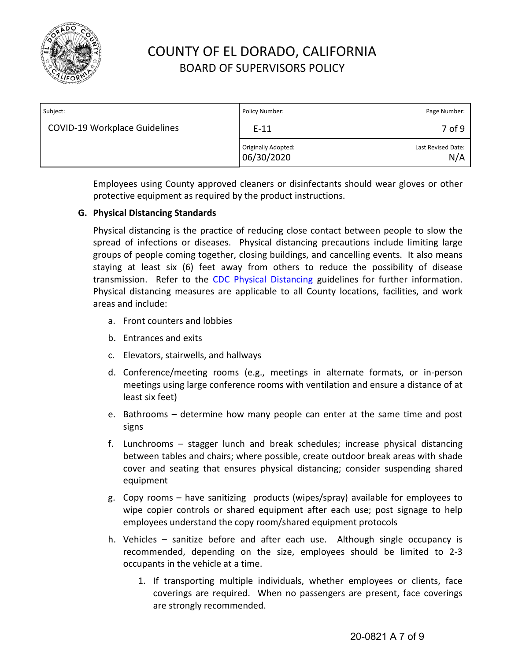

| Subject:                             | Policy Number:                    | Page Number:              |
|--------------------------------------|-----------------------------------|---------------------------|
| <b>COVID-19 Workplace Guidelines</b> | $E-11$                            | 7 of 9                    |
|                                      | Originally Adopted:<br>06/30/2020 | Last Revised Date:<br>N/A |

Employees using County approved cleaners or disinfectants should wear gloves or other protective equipment as required by the product instructions.

## **G. Physical Distancing Standards**

Physical distancing is the practice of reducing close contact between people to slow the spread of infections or diseases. Physical distancing precautions include limiting large groups of people coming together, closing buildings, and cancelling events. It also means staying at least six (6) feet away from others to reduce the possibility of disease transmission. Refer to the [CDC Physical Distancing](https://www.cdc.gov/coronavirus/2019-ncov/prevent-getting-sick/social-distancing.html) guidelines for further information. Physical distancing measures are applicable to all County locations, facilities, and work areas and include:

- a. Front counters and lobbies
- b. Entrances and exits
- c. Elevators, stairwells, and hallways
- d. Conference/meeting rooms (e.g., meetings in alternate formats, or in-person meetings using large conference rooms with ventilation and ensure a distance of at least six feet)
- e. Bathrooms determine how many people can enter at the same time and post signs
- f. Lunchrooms stagger lunch and break schedules; increase physical distancing between tables and chairs; where possible, create outdoor break areas with shade cover and seating that ensures physical distancing; consider suspending shared equipment
- g. Copy rooms have sanitizing products (wipes/spray) available for employees to wipe copier controls or shared equipment after each use; post signage to help employees understand the copy room/shared equipment protocols
- h. Vehicles sanitize before and after each use. Although single occupancy is recommended, depending on the size, employees should be limited to 2-3 occupants in the vehicle at a time.
	- 1. If transporting multiple individuals, whether employees or clients, face coverings are required. When no passengers are present, face coverings are strongly recommended.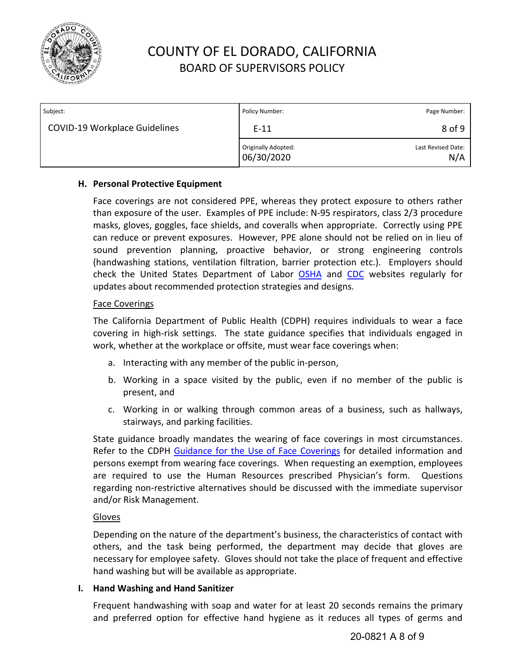

| Subject:                             | Policy Number:                    | Page Number:              |
|--------------------------------------|-----------------------------------|---------------------------|
| <b>COVID-19 Workplace Guidelines</b> | $E-11$                            | 8 of 9                    |
|                                      | Originally Adopted:<br>06/30/2020 | Last Revised Date:<br>N/A |

## **H. Personal Protective Equipment**

Face coverings are not considered PPE, whereas they protect exposure to others rather than exposure of the user. Examples of PPE include: N-95 respirators, class 2/3 procedure masks, gloves, goggles, face shields, and coveralls when appropriate. Correctly using PPE can reduce or prevent exposures. However, PPE alone should not be relied on in lieu of sound prevention planning, proactive behavior, or strong engineering controls (handwashing stations, ventilation filtration, barrier protection etc.). Employers should check the United States Department of Labor [OSHA](https://www.osha.gov/Publications/OSHA3990.pdf) and [CDC](https://www.cdc.gov/coronavirus/2019-ncov/hcp/ppe-strategy/index.html) websites regularly for updates about recommended protection strategies and designs.

### Face Coverings

The California Department of Public Health (CDPH) requires individuals to wear a face covering in high-risk settings. The state guidance specifies that individuals engaged in work, whether at the workplace or offsite, must wear face coverings when:

- a. Interacting with any member of the public in-person,
- b. Working in a space visited by the public, even if no member of the public is present, and
- c. Working in or walking through common areas of a business, such as hallways, stairways, and parking facilities.

State guidance broadly mandates the wearing of face coverings in most circumstances. Refer to the CDPH Guidance for the [Use of Face Coverings](https://www.cdph.ca.gov/Programs/CID/DCDC/CDPH%20Document%20Library/COVID-19/Guidance-for-Face-Coverings_06-18-2020.pdf) for detailed information and persons exempt from wearing face coverings. When requesting an exemption, employees are required to use the Human Resources prescribed Physician's form. Questions regarding non-restrictive alternatives should be discussed with the immediate supervisor and/or Risk Management.

### Gloves

Depending on the nature of the department's business, the characteristics of contact with others, and the task being performed, the department may decide that gloves are necessary for employee safety. Gloves should not take the place of frequent and effective hand washing but will be available as appropriate.

### **I. Hand Washing and Hand Sanitizer**

Frequent handwashing with soap and water for at least 20 seconds remains the primary and preferred option for effective hand hygiene as it reduces all types of germs and